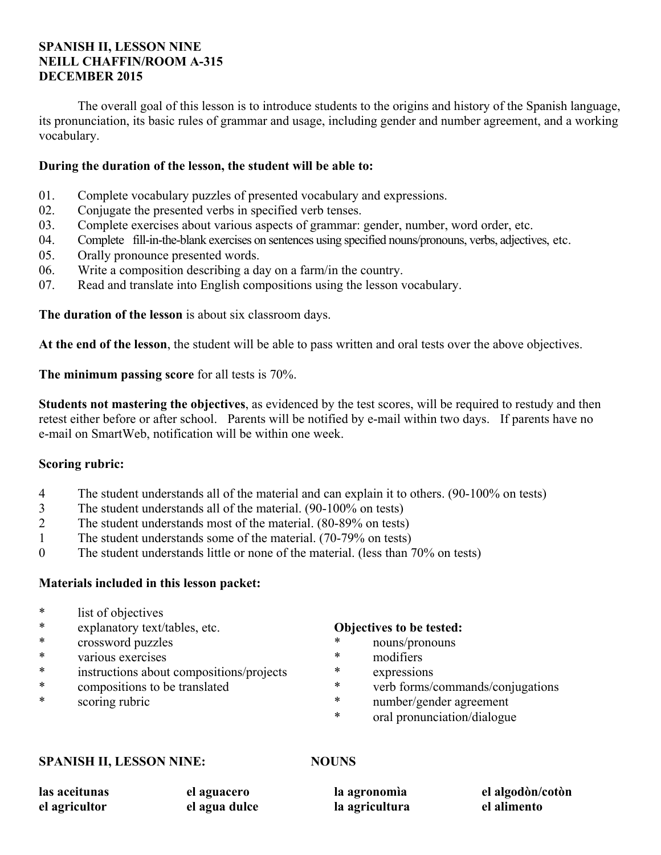# **SPANISH II, LESSON NINE NEILL CHAFFIN/ROOM A-315 DECEMBER 2015**

 The overall goal of this lesson is to introduce students to the origins and history of the Spanish language, its pronunciation, its basic rules of grammar and usage, including gender and number agreement, and a working vocabulary.

# **During the duration of the lesson, the student will be able to:**

- 01. Complete vocabulary puzzles of presented vocabulary and expressions.
- 02. Conjugate the presented verbs in specified verb tenses.
- 03. Complete exercises about various aspects of grammar: gender, number, word order, etc.
- 04. Complete fill-in-the-blank exercises on sentences using specified nouns/pronouns, verbs, adjectives, etc.
- 05. Orally pronounce presented words.
- 06. Write a composition describing a day on a farm/in the country.
- 07. Read and translate into English compositions using the lesson vocabulary.

**The duration of the lesson** is about six classroom days.

**At the end of the lesson**, the student will be able to pass written and oral tests over the above objectives.

**The minimum passing score** for all tests is 70%.

**Students not mastering the objectives**, as evidenced by the test scores, will be required to restudy and then retest either before or after school. Parents will be notified by e-mail within two days. If parents have no e-mail on SmartWeb, notification will be within one week.

# **Scoring rubric:**

- 4 The student understands all of the material and can explain it to others. (90-100% on tests)
- 3 The student understands all of the material. (90-100% on tests)
- 2 The student understands most of the material. (80-89% on tests)
- 1 The student understands some of the material. (70-79% on tests)
- 0 The student understands little or none of the material. (less than 70% on tests)

# **Materials included in this lesson packet:**

- \* list of objectives
- \* explanatory text/tables, etc.
- \* crossword puzzles
- \* various exercises
- instructions about compositions/projects
- \* compositions to be translated
- \* scoring rubric

#### **Objectives to be tested:**

- \* nouns/pronouns
- \* modifiers
- expressions
- \* verb forms/commands/conjugations
- \* number/gender agreement
- \* oral pronunciation/dialogue

#### **SPANISH II, LESSON NINE: NOUNS**

**las aceitunas el agricultor el aguacero el agua dulce la agronomìa la agricultura el algodòn/cotòn el alimento**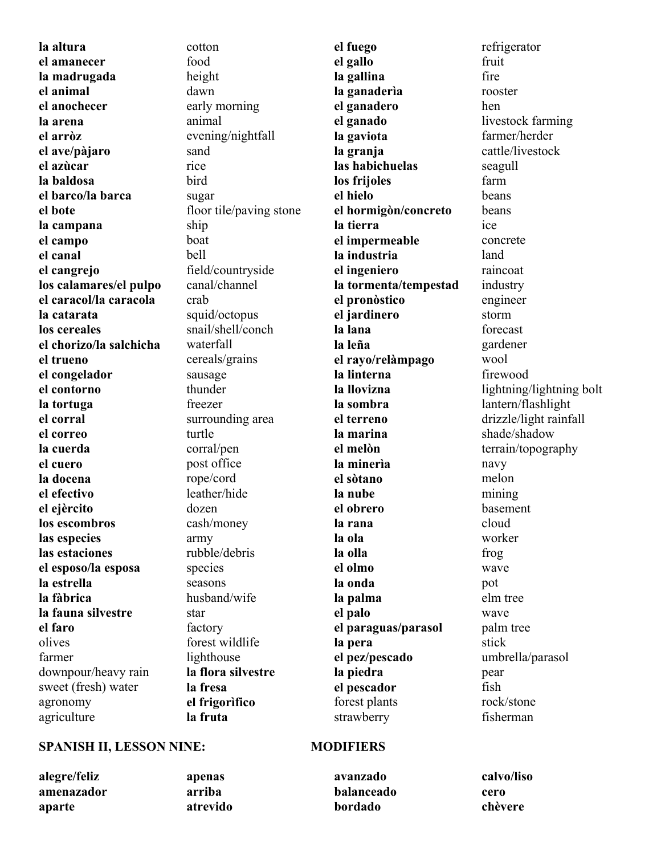**la altura el amanecer la madrugada el animal el anochecer la arena el arròz el ave/pàjaro el azùcar la baldosa el barco/la barca el bote la campana el campo el canal el cangrejo los calamares/el pulpo el caracol/la caracola la catarata los cereales el chorizo/la salchicha el trueno el congelador el contorno la tortuga el corral el correo la cuerda el cuero la docena el efectivo el ejèrcito los escombros las especies las estaciones el esposo/la esposa la estrella la fàbrica la fauna silvestre el faro** olives farmer downpour/heavy rain sweet (fresh) water agronomy agriculture

cotton food height dawn early morning animal evening/nightfall sand rice bird sugar floor tile/paving stone ship boat bell field/countryside canal/channel crab squid/octopus snail/shell/conch waterfall cereals/grains sausage thunder freezer surrounding area turtle corral/pen post office rope/cord leather/hide dozen cash/money army rubble/debris species seasons husband/wife star factory forest wildlife lighthouse **la flora silvestre la fresa el frigorìfico la fruta** 

**el fuego el gallo la gallina la ganaderìa el ganadero el ganado la gaviota la granja las habichuelas los frijoles el hielo el hormigòn/concreto la tierra el impermeable la industria el ingeniero la tormenta/tempestad el pronòstico el jardinero la lana la leña el rayo/relàmpago la linterna la llovizna la sombra el terreno la marina el melòn la minerìa el sòtano la nube el obrero la rana la ola la olla el olmo la onda la palma el palo el paraguas/parasol la pera el pez/pescado la piedra el pescador** forest plants strawberry

refrigerator fruit fire rooster hen livestock farming farmer/herder cattle/livestock seagull farm beans beans ice concrete land raincoat industry engineer storm forecast gardener wool firewood lightning/lightning bolt lantern/flashlight drizzle/light rainfall shade/shadow terrain/topography navy melon mining basement cloud worker frog wave pot elm tree wave palm tree stick umbrella/parasol pear fish rock/stone fisherman

#### **SPANISH II, LESSON NINE: MODIFIERS**

**alegre/feliz amenazador aparte** 

**apenas arriba atrevido** 

**avanzado balanceado bordado calvo/liso cero chèvere**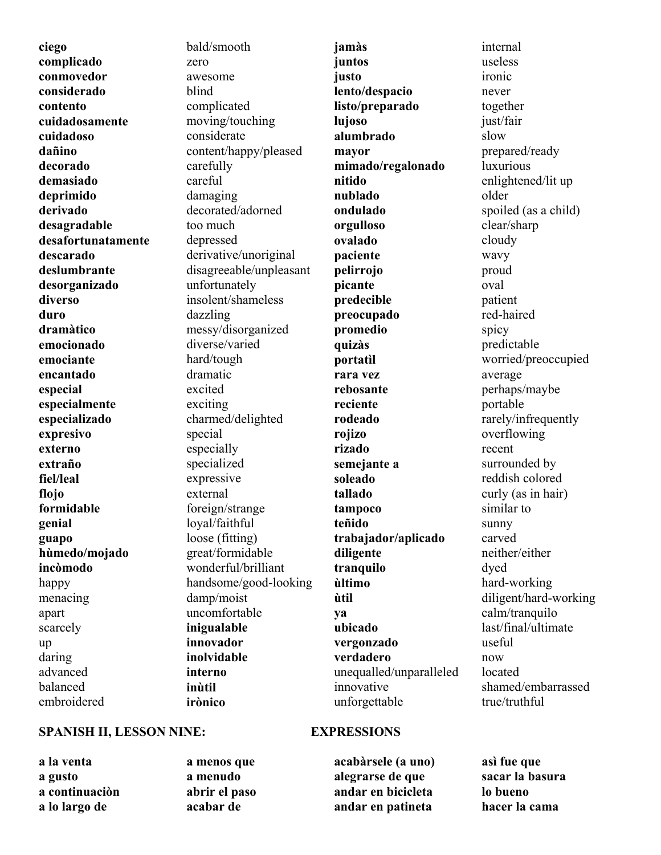**ciego complicado conmovedor considerado contento cuidadosamente cuidadoso dañino decorado demasiado deprimido derivado desagradable desafortunatamente descarado deslumbrante desorganizado diverso duro dramàtico emocionado emociante encantado especial especialmente especializado expresivo externo extraño fiel/leal flojo formidable genial guapo hùmedo/mojado incòmodo** happy menacing apart scarcely up daring advanced balanced embroidered

bald/smooth zero awesome blind complicated moving/touching considerate content/happy/pleased carefully careful damaging decorated/adorned too much depressed derivative/unoriginal disagreeable/unpleasant unfortunately insolent/shameless dazzling messy/disorganized diverse/varied hard/tough dramatic excited exciting charmed/delighted special especially specialized expressive external foreign/strange loyal/faithful loose (fitting) great/formidable wonderful/brilliant handsome/good-looking damp/moist uncomfortable **inigualable innovador inolvidable interno inùtil irònico** 

**jamàs juntos justo lento/despacio listo/preparado lujoso alumbrado mayor mimado/regalonado nitido nublado ondulado orgulloso ovalado paciente pelirrojo picante predecible preocupado promedio quizàs portatìl rara vez rebosante reciente rodeado rojizo rizado semejante a soleado tallado tampoco teñido trabajador/aplicado diligente tranquilo ùltimo ùtil ya ubicado vergonzado verdadero** unequalled/unparalleled innovative unforgettable

# internal useless ironic never together just/fair slow prepared/ready luxurious enlightened/lit up older spoiled (as a child) clear/sharp cloudy wavy proud oval patient red-haired spicy predictable worried/preoccupied average perhaps/maybe portable rarely/infrequently overflowing recent surrounded by reddish colored curly (as in hair) similar to sunny carved neither/either dyed hard-working diligent/hard-working calm/tranquilo last/final/ultimate useful now located shamed/embarrassed true/truthful

### **SPANISH II, LESSON NINE:** EXPRESSIONS

**a la venta a gusto a continuaciòn a lo largo de** 

**a menos que a menudo abrir el paso acabar de** 

**acabàrsele (a uno) alegrarse de que andar en bicicleta andar en patineta** 

**asì fue que sacar la basura lo bueno hacer la cama**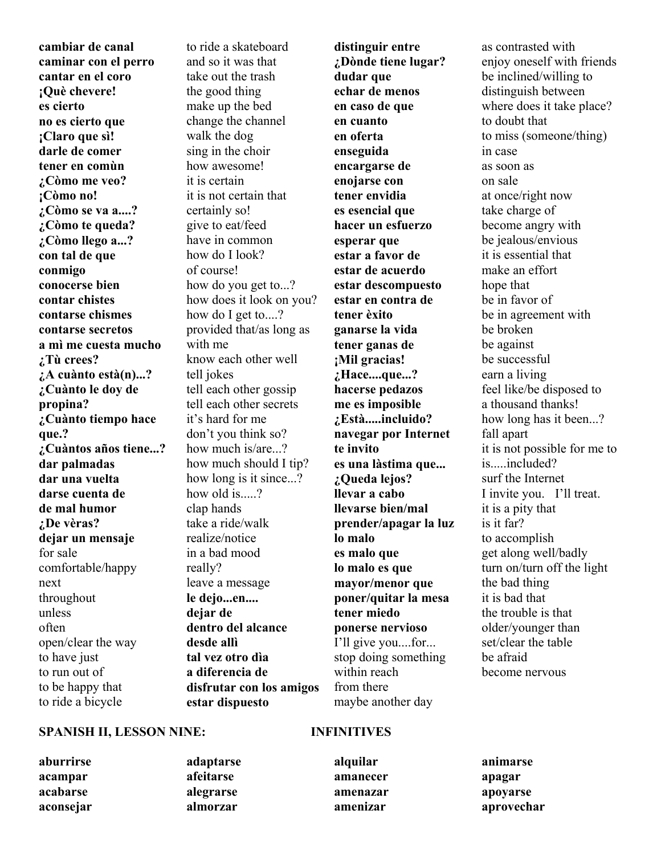**cambiar de canal caminar con el perro cantar en el coro ¡Què chevere! es cierto no es cierto que ¡Claro que sì! darle de comer tener en comùn ¿Còmo me veo? ¡Còmo no! ¿Còmo se va a....? ¿Còmo te queda? ¿Còmo llego a...? con tal de que conmigo conocerse bien contar chistes contarse chismes contarse secretos a mì me cuesta mucho ¿Tù crees? ¿A cuànto està(n)...? ¿Cuànto le doy de propina? ¿Cuànto tiempo hace que.? ¿Cuàntos años tiene...? dar palmadas dar una vuelta darse cuenta de de mal humor ¿De vèras? dejar un mensaje**  for sale comfortable/happy next throughout unless often open/clear the way to have just to run out of to be happy that to ride a bicycle

to ride a skateboard and so it was that take out the trash the good thing make up the bed change the channel walk the dog sing in the choir how awesome! it is certain it is not certain that certainly so! give to eat/feed have in common how do I look? of course! how do you get to...? how does it look on you? how do I get to....? provided that/as long as with me know each other well tell jokes tell each other gossip tell each other secrets it's hard for me don't you think so? how much is/are...? how much should I tip? how long is it since...? how old is.....? clap hands take a ride/walk realize/notice in a bad mood really? leave a message **le dejo...en.... dejar de dentro del alcance desde allì tal vez otro dìa a diferencia de disfrutar con los amigos estar dispuesto** 

**distinguir entre ¿Dònde tiene lugar? dudar que echar de menos en caso de que en cuanto en oferta enseguida encargarse de enojarse con tener envidia es esencial que hacer un esfuerzo esperar que estar a favor de estar de acuerdo estar descompuesto estar en contra de tener èxito ganarse la vida tener ganas de ¡Mil gracias! ¿Hace....que...? hacerse pedazos me es imposible ¿Està.....incluido? navegar por Internet te invito es una làstima que... ¿Queda lejos? llevar a cabo llevarse bien/mal prender/apagar la luz lo malo es malo que lo malo es que mayor/menor que poner/quitar la mesa tener miedo ponerse nervioso** I'll give you....for... stop doing something within reach from there maybe another day

as contrasted with enjoy oneself with friends be inclined/willing to distinguish between where does it take place? to doubt that to miss (someone/thing) in case as soon as on sale at once/right now take charge of become angry with be jealous/envious it is essential that make an effort hope that be in favor of be in agreement with be broken be against be successful earn a living feel like/be disposed to a thousand thanks! how long has it been...? fall apart it is not possible for me to is.....included? surf the Internet I invite you. I'll treat. it is a pity that is it far? to accomplish get along well/badly turn on/turn off the light the bad thing it is bad that the trouble is that older/younger than set/clear the table be afraid become nervous

#### **SPANISH II, LESSON NINE: INFINITIVES**

- **aburrirse acampar acabarse aconsejar**
- **adaptarse afeitarse alegrarse almorzar**

**alquilar amanecer amenazar amenizar** 

**animarse apagar apoyarse aprovechar**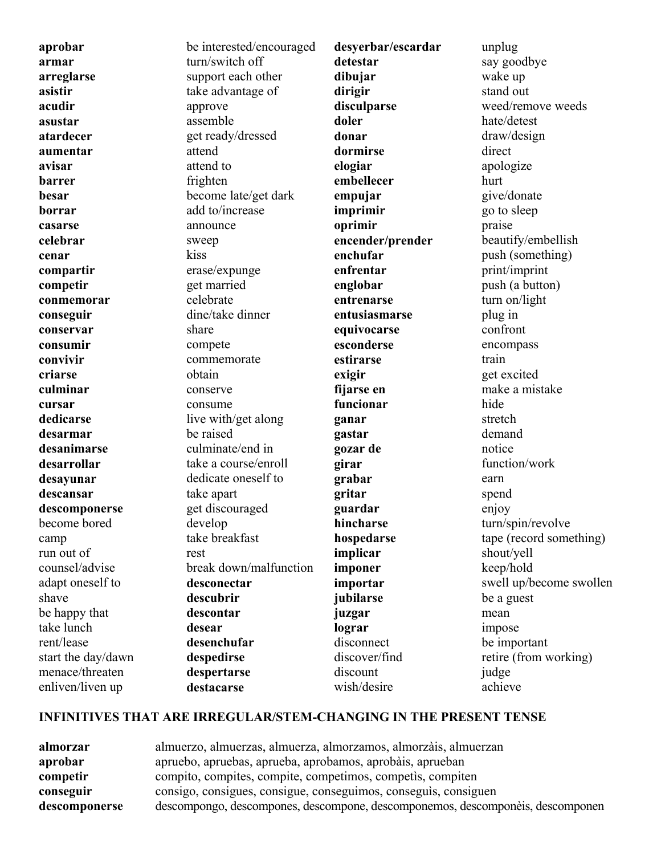**aprobar armar arreglarse asistir acudir asustar atardecer aumentar avisar barrer besar borrar casarse celebrar cenar compartir competir conmemorar conseguir conservar consumir convivir criarse culminar cursar dedicarse desarmar desanimarse desarrollar desayunar descansar descomponerse** become bored camp run out of counsel/advise adapt oneself to shave be happy that take lunch rent/lease start the day/dawn menace/threaten enliven/liven up

be interested/encouraged turn/switch off support each other take advantage of approve assemble get ready/dressed attend attend to frighten become late/get dark add to/increase announce sweep kiss erase/expunge get married celebrate dine/take dinner share compete commemorate obtain conserve consume live with/get along be raised culminate/end in take a course/enroll dedicate oneself to take apart get discouraged develop take breakfast rest break down/malfunction **desconectar descubrir descontar desear desenchufar despedirse despertarse destacarse** 

**desyerbar/escardar detestar dibujar dirigir disculparse doler donar dormirse elogiar embellecer empujar imprimir oprimir encender/prender enchufar enfrentar englobar entrenarse entusiasmarse equivocarse esconderse estirarse exigir fijarse en funcionar ganar gastar gozar de girar grabar gritar guardar hincharse hospedarse implicar imponer importar jubilarse juzgar lograr** disconnect discover/find discount

unplug say goodbye wake up stand out weed/remove weeds hate/detest draw/design direct apologize hurt give/donate go to sleep praise beautify/embellish push (something) print/imprint push (a button) turn on/light plug in confront encompass train get excited make a mistake hide stretch demand notice function/work earn spend enjoy turn/spin/revolve tape (record something) shout/yell keep/hold swell up/become swollen be a guest mean impose be important retire (from working) judge achieve

#### **INFINITIVES THAT ARE IRREGULAR/STEM-CHANGING IN THE PRESENT TENSE**

| almorzar      | almuerzo, almuerzas, almuerza, almorzamos, almorzais, almuerzan                |
|---------------|--------------------------------------------------------------------------------|
| aprobar       | apruebo, apruebas, aprueba, aprobamos, aprobàis, aprueban                      |
| competir      | compito, compites, compite, competimos, competis, compiten                     |
| conseguir     | consigo, consigues, consigue, conseguimos, conseguis, consiguen                |
| descomponerse | descompongo, descompones, descompone, descomponemos, descomponèis, descomponen |

wish/desire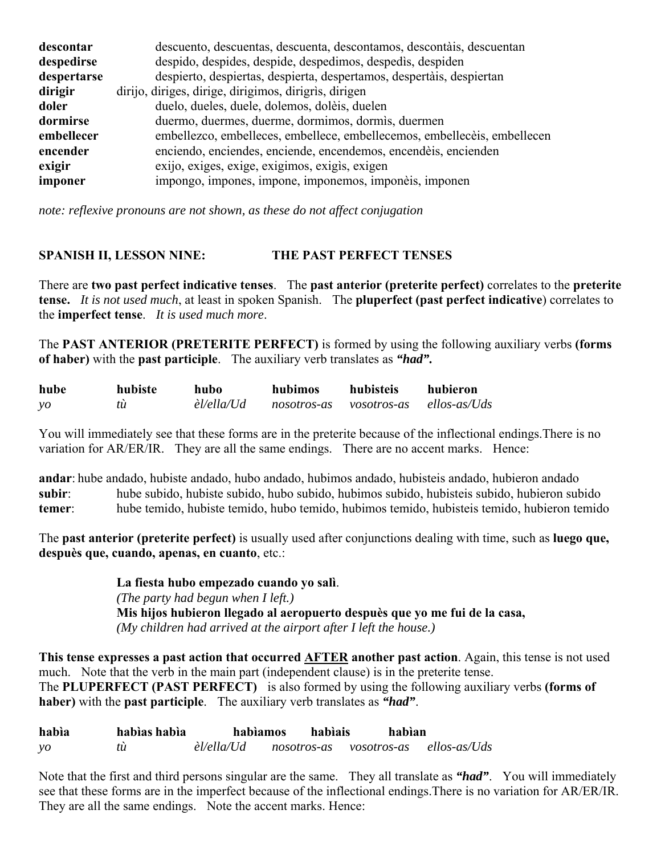| descontar   | descuento, descuentas, descuenta, descontamos, descontais, descuentan    |
|-------------|--------------------------------------------------------------------------|
| despedirse  | despido, despides, despide, despedimos, despedis, despiden               |
| despertarse | despierto, despiertas, despierta, despertamos, despertàis, despiertan    |
| dirigir     | dirijo, diriges, dirige, dirigimos, dirigris, dirigen                    |
| doler       | duelo, dueles, duele, dolemos, dolèis, duelen                            |
| dormirse    | duermo, duermes, duerme, dormimos, dormis, duermen                       |
| embellecer  | embellezco, embelleces, embellece, embellecemos, embellecèis, embellecen |
| encender    | enciendo, enciendes, enciende, encendemos, encendeis, encienden          |
| exigir      | exijo, exiges, exige, exigimos, exigis, exigen                           |
| imponer     | impongo, impones, impone, imponemos, imponèis, imponen                   |

*note: reflexive pronouns are not shown, as these do not affect conjugation*

# **SPANISH II, LESSON NINE: THE PAST PERFECT TENSES**

There are **two past perfect indicative tenses**. The **past anterior (preterite perfect)** correlates to the **preterite tense.** *It is not used much*, at least in spoken Spanish. The **pluperfect (past perfect indicative**) correlates to the **imperfect tense**. *It is used much more*.

The **PAST ANTERIOR (PRETERITE PERFECT)** is formed by using the following auxiliary verbs **(forms of haber)** with the **past participle**. The auxiliary verb translates as *"had".*

| hube          | hubiste | hubo       | hubimos     | hubisteis   | hubieron     |
|---------------|---------|------------|-------------|-------------|--------------|
| $\mathcal{V}$ | tù      | èl/ella/Ud | nosotros-as | vosotros-as | ellos-as/Uds |

You will immediately see that these forms are in the preterite because of the inflectional endings.There is no variation for AR/ER/IR. They are all the same endings. There are no accent marks. Hence:

**andar**: hube andado, hubiste andado, hubo andado, hubimos andado, hubisteis andado, hubieron andado **subir**: hube subido, hubiste subido, hubo subido, hubimos subido, hubisteis subido, hubieron subido **temer**: hube temido, hubiste temido, hubo temido, hubimos temido, hubisteis temido, hubieron temido

The **past anterior (preterite perfect)** is usually used after conjunctions dealing with time, such as **luego que, despuès que, cuando, apenas, en cuanto**, etc.:

> **La fiesta hubo empezado cuando yo salì**. *(The party had begun when I left.)*  **Mis hijos hubieron llegado al aeropuerto despuès que yo me fui de la casa,** *(My children had arrived at the airport after I left the house.)*

**This tense expresses a past action that occurred AFTER another past action**. Again, this tense is not used much. Note that the verb in the main part (independent clause) is in the preterite tense. The **PLUPERFECT (PAST PERFECT)** is also formed by using the following auxiliary verbs **(forms of haber)** with the **past participle**. The auxiliary verb translates as *"had"*.

| habia      | habias habia | habiamos   |             | habiais | habìan      |              |
|------------|--------------|------------|-------------|---------|-------------|--------------|
| $\gamma$ o | tù           | èl/ella/Ud | nosotros-as |         | vosotros-as | ellos-as/Uds |

Note that the first and third persons singular are the same. They all translate as *"had"*. You will immediately see that these forms are in the imperfect because of the inflectional endings.There is no variation for AR/ER/IR. They are all the same endings. Note the accent marks. Hence: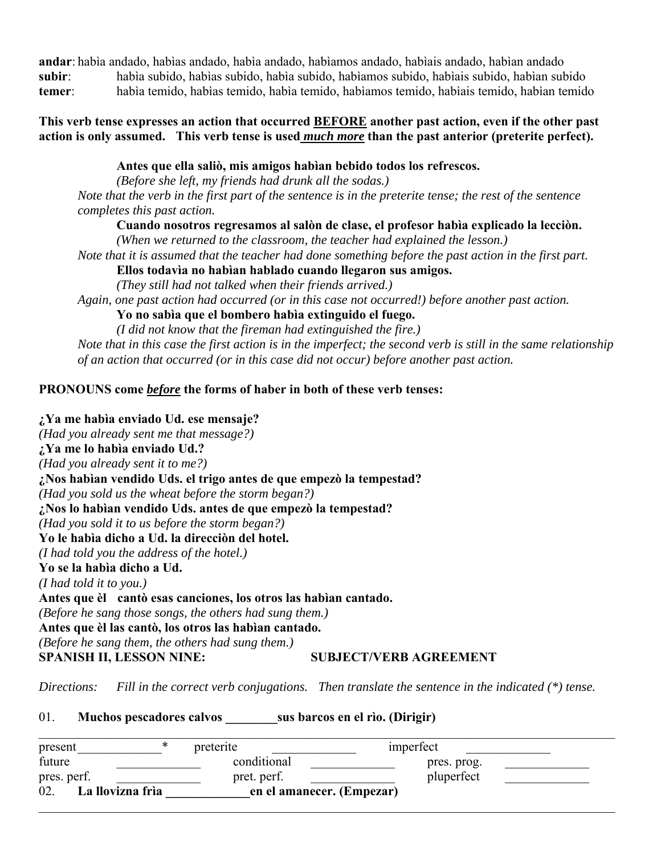**andar**: habìa andado, habìas andado, habìa andado, habìamos andado, habìais andado, habìan andado **subir**: habìa subido, habìas subido, habìa subido, habìamos subido, habìais subido, habìan subido **temer**: habìa temido, habìas temido, habìa temido, habìamos temido, habìais temido, habìan temido

### **This verb tense expresses an action that occurred BEFORE another past action, even if the other past action is only assumed. This verb tense is used** *much more* **than the past anterior (preterite perfect).**

# **Antes que ella saliò, mis amigos habìan bebido todos los refrescos.**

 *(Before she left, my friends had drunk all the sodas.) Note that the verb in the first part of the sentence is in the preterite tense; the rest of the sentence completes this past action.*

### **Cuando nosotros regresamos al salòn de clase, el profesor habìa explicado la lecciòn.**

 *(When we returned to the classroom, the teacher had explained the lesson.)*

 *Note that it is assumed that the teacher had done something before the past action in the first part.*

### **Ellos todavìa no habìan hablado cuando llegaron sus amigos.**

 *(They still had not talked when their friends arrived.)*

*Again, one past action had occurred (or in this case not occurred!) before another past action.*

 **Yo no sabìa que el bombero habìa extinguido el fuego.**

 *(I did not know that the fireman had extinguished the fire.)*

*Note that in this case the first action is in the imperfect; the second verb is still in the same relationship of an action that occurred (or in this case did not occur) before another past action.*

# **PRONOUNS come** *before* **the forms of haber in both of these verb tenses:**

# **¿Ya me habìa enviado Ud. ese mensaje?** *(Had you already sent me that message?)* **¿Ya me lo habìa enviado Ud.?** *(Had you already sent it to me?)* **¿Nos habìan vendido Uds. el trigo antes de que empezò la tempestad?** *(Had you sold us the wheat before the storm began?)* **¿Nos lo habìan vendido Uds. antes de que empezò la tempestad?** *(Had you sold it to us before the storm began?)* **Yo le habìa dicho a Ud. la direcciòn del hotel.** *(I had told you the address of the hotel.)* **Yo se la habìa dicho a Ud.** *(I had told it to you.)* **Antes que èl cantò esas canciones, los otros las habìan cantado.** *(Before he sang those songs, the others had sung them.)* **Antes que èl las cantò, los otros las habìan cantado.** *(Before he sang them, the others had sung them.)* SPANISH II, LESSON NINE: SUBJECT/VERB AGREEMENT

*Directions: Fill in the correct verb conjugations. Then translate the sentence in the indicated (\*) tense.*

01. **Muchos pescadores calvos \_\_\_\_\_\_\_\_sus barcos en el rìo. (Dirigir)**

| present                 | ∗<br>preterite | imperfect                 |  |
|-------------------------|----------------|---------------------------|--|
| future                  | conditional    | pres. prog.               |  |
| pres. perf.             | pret. perf.    | pluperfect                |  |
| 02.<br>La llovizna frìa |                | en el amanecer. (Empezar) |  |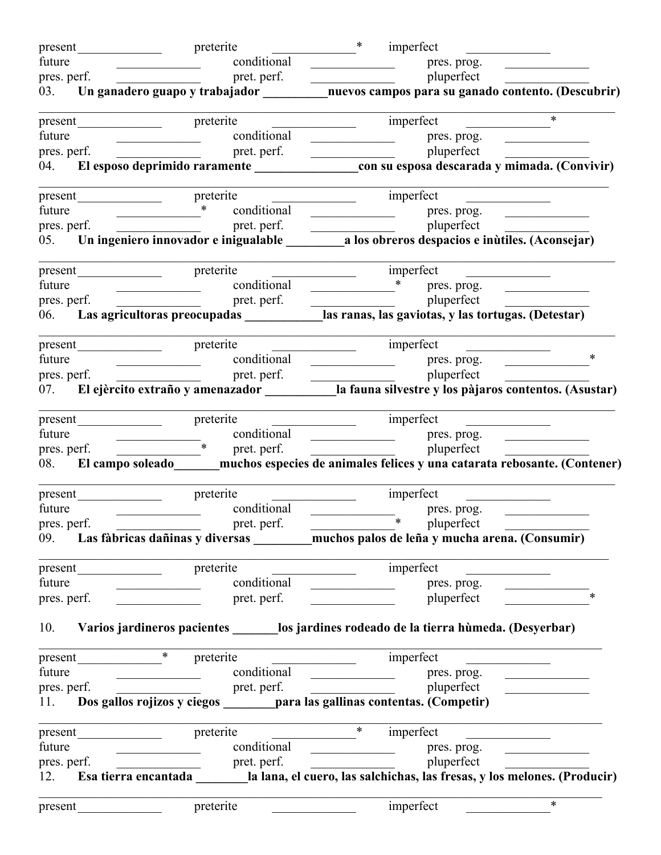|             | present preterite |                                                                                                                                       | $*$<br>imperfect<br><u> 1989 - Jan Stein Stein Stein Stein Stein Stein Stein Stein Stein Stein Stein Stein Stein Stein Stein Stein S</u>                                                                                                                                                                                                                              |
|-------------|-------------------|---------------------------------------------------------------------------------------------------------------------------------------|-----------------------------------------------------------------------------------------------------------------------------------------------------------------------------------------------------------------------------------------------------------------------------------------------------------------------------------------------------------------------|
|             |                   |                                                                                                                                       | future conditional pres. prog. pres. prog. pres. prog. pres. prog. pres. prog. pres. prog. pres. prog. pres. prog. pres. prog. pres. prog. pres. prog. pres. prog. pres. prog. pres. prog. pres. prog. pres. prog. pres. prog.                                                                                                                                        |
|             |                   |                                                                                                                                       |                                                                                                                                                                                                                                                                                                                                                                       |
|             |                   |                                                                                                                                       | 03. Un ganadero guapo y trabajador ____________nuevos campos para su ganado contento. (Descubrir)                                                                                                                                                                                                                                                                     |
|             |                   |                                                                                                                                       | $\overline{\ast}$                                                                                                                                                                                                                                                                                                                                                     |
| future      |                   | conditional<br><u> 1989 - Johann Barbara, martin a</u>                                                                                | pres. prog.<br><u> 1989 - Johann Harry Harry Harry Harry Harry Harry Harry Harry Harry Harry Harry Harry Harry Harry Harry Harry Harry Harry Harry Harry Harry Harry Harry Harry Harry Harry Harry Harry Harry Harry Harry Harry Harry Harry Ha</u>                                                                                                                   |
|             |                   |                                                                                                                                       |                                                                                                                                                                                                                                                                                                                                                                       |
|             |                   |                                                                                                                                       |                                                                                                                                                                                                                                                                                                                                                                       |
|             |                   |                                                                                                                                       |                                                                                                                                                                                                                                                                                                                                                                       |
| future      |                   | $\overline{\phantom{a}}$                                                                                                              | enditional<br>pret. perf.<br>pret. perf.<br>pres. prog.<br>pluperfect<br>pluperfect<br>$\frac{1}{\sqrt{1-\frac{1}{1-\frac{1}{1-\frac{1}{1-\frac{1}{1-\frac{1}{1-\frac{1}{1-\frac{1}{1-\frac{1}{1-\frac{1}{1-\frac{1}{1-\frac{1}{1-\frac{1}{1-\frac{1}{1-\frac{1}{1-\frac{1}{1-\frac{1}{1-\frac{1}{1-\frac{1}{1-\frac{1}{1-\frac{1}{1-\frac{1}{1-\frac{1}{1-\frac{1}{$ |
|             | pres. perf.       |                                                                                                                                       |                                                                                                                                                                                                                                                                                                                                                                       |
|             |                   |                                                                                                                                       |                                                                                                                                                                                                                                                                                                                                                                       |
|             |                   |                                                                                                                                       |                                                                                                                                                                                                                                                                                                                                                                       |
|             |                   |                                                                                                                                       |                                                                                                                                                                                                                                                                                                                                                                       |
|             |                   |                                                                                                                                       |                                                                                                                                                                                                                                                                                                                                                                       |
|             |                   |                                                                                                                                       | 06. Las agricultoras preocupadas _____________________las ranas, las gaviotas, y las tortugas. (Detestar)                                                                                                                                                                                                                                                             |
|             |                   |                                                                                                                                       |                                                                                                                                                                                                                                                                                                                                                                       |
|             |                   |                                                                                                                                       | $\ast$<br>pressure the conditional press prog.<br>press perf. and press perfect perf. and press perfect press perfect perfect perfect perfect perfect perfect of the restriction of the restriction of the restriction of the restriction                                                                                                                             |
|             |                   |                                                                                                                                       |                                                                                                                                                                                                                                                                                                                                                                       |
|             |                   |                                                                                                                                       | 07. El ejèrcito extraño y amenazador _____________la fauna silvestre y los pàjaros contentos. (Asustar)                                                                                                                                                                                                                                                               |
|             |                   |                                                                                                                                       | imperfect                                                                                                                                                                                                                                                                                                                                                             |
|             |                   |                                                                                                                                       | conditional pres. prog.                                                                                                                                                                                                                                                                                                                                               |
|             |                   |                                                                                                                                       |                                                                                                                                                                                                                                                                                                                                                                       |
|             |                   |                                                                                                                                       | 08. El campo soleado _____ muchos especies de animales felices y una catarata rebosante. (Contener)                                                                                                                                                                                                                                                                   |
|             | present preterite |                                                                                                                                       | imperfect<br><b>Contract Contract Contract</b>                                                                                                                                                                                                                                                                                                                        |
| future      |                   | conditional<br><u> Alexandria (m. 1888)</u>                                                                                           | pres. prog.                                                                                                                                                                                                                                                                                                                                                           |
| pres. perf. |                   | pret. perf.                                                                                                                           | and the set of the set of the set of the set of the set of the set of the set of the set of the set of the set o                                                                                                                                                                                                                                                      |
|             |                   |                                                                                                                                       | 09. Las fàbricas dañinas y diversas _______ muchos palos de leña y mucha arena. (Consumir)                                                                                                                                                                                                                                                                            |
|             |                   |                                                                                                                                       | imperfect<br>the control of the control of the                                                                                                                                                                                                                                                                                                                        |
| future      |                   | conditional                                                                                                                           | <u> 1990 - Johann Barbara, mart</u><br>pres. prog.                                                                                                                                                                                                                                                                                                                    |
|             | pres. perf.       | pret. perf.                                                                                                                           | $\ast$<br>pluperfect                                                                                                                                                                                                                                                                                                                                                  |
|             |                   |                                                                                                                                       | 10. Varios jardineros pacientes ________los jardines rodeado de la tierra hùmeda. (Desyerbar)                                                                                                                                                                                                                                                                         |
|             | present           | $\ast$<br>preterite                                                                                                                   | imperfect                                                                                                                                                                                                                                                                                                                                                             |
| future      |                   | conditional<br><u> 1989 - Johann Stoff, deutscher Stoffen und der Stoffen und der Stoffen und der Stoffen und der Stoffen und der</u> | $\rule{1em}{0.15mm}$ pres. prog.<br><u>and the state of the state of the state</u>                                                                                                                                                                                                                                                                                    |
| pres. perf. |                   | pret. perf.                                                                                                                           | pluperfect                                                                                                                                                                                                                                                                                                                                                            |
|             |                   |                                                                                                                                       | 11. Dos gallos rojizos y ciegos _______ para las gallinas contentas. (Competir)                                                                                                                                                                                                                                                                                       |
|             | present           | preterite                                                                                                                             | $\ast$<br>imperfect                                                                                                                                                                                                                                                                                                                                                   |
| future      |                   | conditional                                                                                                                           | pres. prog.                                                                                                                                                                                                                                                                                                                                                           |
|             | pres. perf.       |                                                                                                                                       |                                                                                                                                                                                                                                                                                                                                                                       |
|             |                   |                                                                                                                                       |                                                                                                                                                                                                                                                                                                                                                                       |
|             | present           | preterite                                                                                                                             | $*$<br>imperfect                                                                                                                                                                                                                                                                                                                                                      |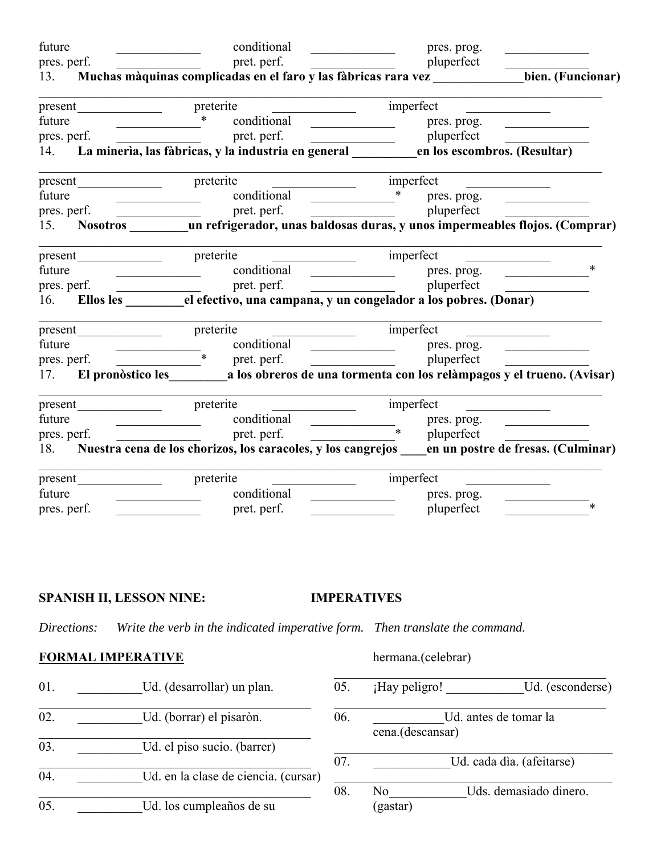| future |                   | conditional                                                                                                                                                                                                                                                                                                                                                                                                                                                                    | pres. prog.                                                                                                             |                                                |
|--------|-------------------|--------------------------------------------------------------------------------------------------------------------------------------------------------------------------------------------------------------------------------------------------------------------------------------------------------------------------------------------------------------------------------------------------------------------------------------------------------------------------------|-------------------------------------------------------------------------------------------------------------------------|------------------------------------------------|
|        | pres. perf.       | pret. perf.<br><u> 1989 - Andrea Station Barbara, amerikan</u>                                                                                                                                                                                                                                                                                                                                                                                                                 | pluperfect                                                                                                              |                                                |
|        |                   | 13. Muchas màquinas complicadas en el faro y las fàbricas rara vez                                                                                                                                                                                                                                                                                                                                                                                                             |                                                                                                                         | bien. (Funcionar)                              |
|        |                   | <u> 1990 - Johann Barbara, martxa a</u>                                                                                                                                                                                                                                                                                                                                                                                                                                        | imperfect                                                                                                               |                                                |
| future |                   | $\begin{array}{c c c c c} \hline \multicolumn{3}{c }{\textbf{1}} & \multicolumn{3}{c }{\textbf{2}} \\ \hline \multicolumn{3}{c }{\textbf{2}} & \multicolumn{3}{c }{\textbf{3}} \\ \hline \multicolumn{3}{c }{\textbf{4}} & \multicolumn{3}{c }{\textbf{5}} \\ \hline \multicolumn{3}{c }{\textbf{5}} & \multicolumn{3}{c }{\textbf{6}} \\ \hline \multicolumn{3}{c }{\textbf{6}} & \multicolumn{3}{c }{\textbf{7}} \\ \hline \multicolumn{3}{c }{\textbf{6}} &$<br>conditional | pres. prog.<br><u> 1989 - Johann Barbara, martin a</u>                                                                  | <u> The Communication of the Communication</u> |
|        | pres. perf.       |                                                                                                                                                                                                                                                                                                                                                                                                                                                                                |                                                                                                                         |                                                |
|        |                   | pres. perf. pret. perf. pret. perf. perf. perf. perf. perf. perf. perf. perf. perf. perf. perf. perf. perf. perf. perf. perf. perfect $14.$ La mineria, las fàbricas, y la industria en general en los escombros. (Resultar)                                                                                                                                                                                                                                                   |                                                                                                                         |                                                |
|        | present preterite |                                                                                                                                                                                                                                                                                                                                                                                                                                                                                |                                                                                                                         |                                                |
| future |                   | conditional                                                                                                                                                                                                                                                                                                                                                                                                                                                                    | $\begin{array}{cccc}\n & \ast & \text{pres. prog.} \\  \end{array}$                                                     |                                                |
|        |                   | pres. perf. <u>_________________</u> pret. perf.                                                                                                                                                                                                                                                                                                                                                                                                                               | pluperfect                                                                                                              |                                                |
|        |                   | 15. Nosotros _______ un refrigerador, unas baldosas duras, y unos impermeables flojos. (Comprar)                                                                                                                                                                                                                                                                                                                                                                               |                                                                                                                         |                                                |
|        |                   | $\frac{1}{2}$ imperfect                                                                                                                                                                                                                                                                                                                                                                                                                                                        | <u> 1986 - Johann Stoff, deutscher Stoff, der Stoff, deutscher Stoff, der Stoff, der Stoff, der Stoff, der Stoff, d</u> |                                                |
| future |                   | <u> Alexandria (m. 1888)</u>                                                                                                                                                                                                                                                                                                                                                                                                                                                   | conditional <u>examence</u> pres. prog.                                                                                 | $\ast$                                         |
|        |                   |                                                                                                                                                                                                                                                                                                                                                                                                                                                                                | pluperfect                                                                                                              |                                                |
|        |                   | 16. Ellos les electivo, una campana, y un congelador a los pobres. (Donar)                                                                                                                                                                                                                                                                                                                                                                                                     |                                                                                                                         |                                                |
|        | present preterite |                                                                                                                                                                                                                                                                                                                                                                                                                                                                                | imperfect                                                                                                               |                                                |
| future |                   |                                                                                                                                                                                                                                                                                                                                                                                                                                                                                |                                                                                                                         |                                                |
|        |                   | future conditional pres. prog.<br>pres. perf. $\frac{\text{conditional}}{\text{pret. perf.}}$ pres. prog.                                                                                                                                                                                                                                                                                                                                                                      |                                                                                                                         |                                                |
|        |                   | 17. El pronòstico les a los obreros de una tormenta con los relàmpagos y el trueno. (Avisar)                                                                                                                                                                                                                                                                                                                                                                                   |                                                                                                                         |                                                |
|        |                   |                                                                                                                                                                                                                                                                                                                                                                                                                                                                                |                                                                                                                         |                                                |
|        |                   | future conditional pres. prog.<br>pres. perf. perf. perf. perf. perf. perf. perf. perfect pluperfect                                                                                                                                                                                                                                                                                                                                                                           |                                                                                                                         |                                                |
|        |                   |                                                                                                                                                                                                                                                                                                                                                                                                                                                                                |                                                                                                                         |                                                |
| 18.    |                   | Nuestra cena de los chorizos, los caracoles, y los cangrejos en un postre de fresas. (Culminar)                                                                                                                                                                                                                                                                                                                                                                                |                                                                                                                         |                                                |
|        |                   | preterite                                                                                                                                                                                                                                                                                                                                                                                                                                                                      | imperfect                                                                                                               |                                                |
| future |                   | conditional                                                                                                                                                                                                                                                                                                                                                                                                                                                                    | pres. prog.<br><u> 1990 - Johann Stoff, franc</u>                                                                       |                                                |
|        | pres. perf.       | pret. perf.                                                                                                                                                                                                                                                                                                                                                                                                                                                                    | pluperfect                                                                                                              | $\ast$                                         |

# **SPANISH II, LESSON NINE: IMPERATIVES**

hermana.(celebrar)

*Directions: Write the verb in the indicated imperative form. Then translate the command.*

# **FORMAL IMPERATIVE**

| 01. | Ud. (desarrollar) un plan.           | 05. | ¡Hay peligro!    | Ud. (esconderse)          |
|-----|--------------------------------------|-----|------------------|---------------------------|
| 02. | Ud. (borrar) el pisaròn.             | 06. | cena.(descansar) | Ud. antes de tomar la     |
| 03. | Ud. el piso sucio. (barrer)          | 07. |                  | Ud. cada dìa. (afeitarse) |
| 04. | Ud. en la clase de ciencia. (cursar) |     |                  |                           |
| 05. | Ud. los cumpleaños de su             | 08. | No<br>(gastar)   | Uds. demasiado dinero.    |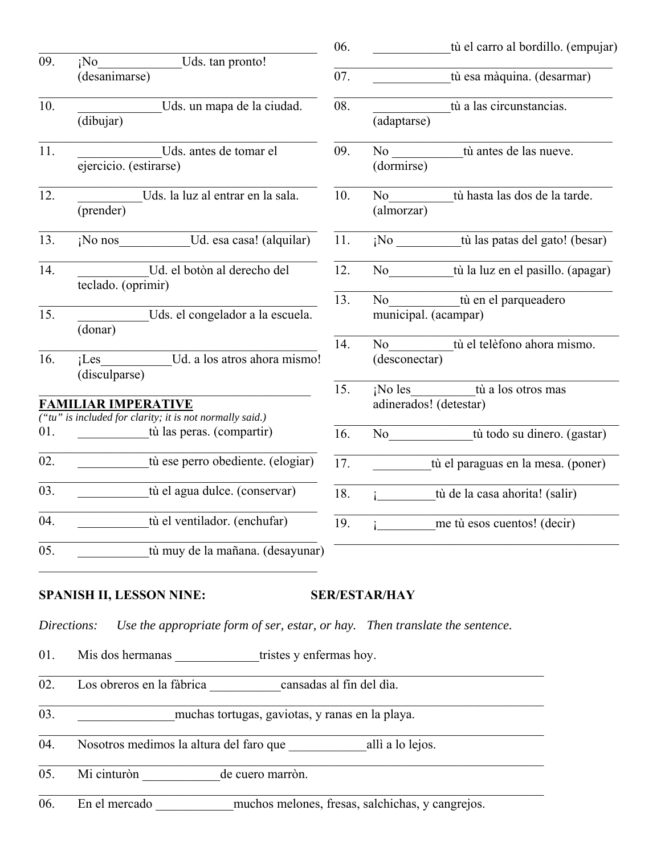|                   |                                                                                             | 06. | tù el carro al bordillo. (empujar)                                                                                                                                                                                                                                        |
|-------------------|---------------------------------------------------------------------------------------------|-----|---------------------------------------------------------------------------------------------------------------------------------------------------------------------------------------------------------------------------------------------------------------------------|
| 09.               | Uds. tan pronto!<br>¡No<br>(desanimarse)                                                    | 07. | tù esa màquina. (desarmar)                                                                                                                                                                                                                                                |
| 10.               | Uds. un mapa de la ciudad.<br>(dibujar)                                                     | 08. | tù a las circunstancias.<br>(adaptarse)                                                                                                                                                                                                                                   |
| 11.               | Uds. antes de tomar el<br>ejercicio. (estirarse)                                            | 09. | tù antes de las nueve.<br>No new years of the New York of the New York of the New York of the New York of the New York of the New York o<br>New York of the New York of the New York of the New York of the New York of the New York of the New York of the<br>(dormirse) |
| 12.               | Uds. la luz al entrar en la sala.<br>(prender)                                              | 10. | tù hasta las dos de la tarde.<br>No r<br>(almorzar)                                                                                                                                                                                                                       |
| 13.               | ¡No nos Ud. esa casa! (alquilar)                                                            | 11. | ¡No tù las patas del gato! (besar)                                                                                                                                                                                                                                        |
| 14.               | Ud. el botòn al derecho del<br>teclado. (oprimir)                                           | 12. | No tù la luz en el pasillo. (apagar)                                                                                                                                                                                                                                      |
| $\overline{15}$ . | Uds. el congelador a la escuela.<br>(donar)                                                 | 13. | tù en el parqueadero<br>No<br>municipal. (acampar)                                                                                                                                                                                                                        |
| 16.               | Ud. a los atros ahora mismo!<br>$i$ Les<br>(disculparse)                                    | 14. | tù el telèfono ahora mismo.<br>No<br>(desconectar)                                                                                                                                                                                                                        |
|                   | <b>FAMILIAR IMPERATIVE</b><br>("tu" is included for clarity; it is not normally said.)      | 15. | ¡No les tù a los otros mas<br>adinerados! (detestar)                                                                                                                                                                                                                      |
| 01.               | tù las peras. (compartir)                                                                   | 16. | tù todo su dinero. (gastar)<br>No no                                                                                                                                                                                                                                      |
| 02.               | tù ese perro obediente. (elogiar)                                                           | 17. | tù el paraguas en la mesa. (poner)                                                                                                                                                                                                                                        |
| 03.               | tù el agua dulce. (conservar)                                                               | 18. | tù de la casa ahorita! (salir)<br>$\mathbf{i}$ and $\mathbf{j}$                                                                                                                                                                                                           |
| 04.               | tù el ventilador. (enchufar)                                                                | 19. | me tù esos cuentos! (decir)<br>$i_{-}$                                                                                                                                                                                                                                    |
| 05.               | tù muy de la mañana. (desayunar)                                                            |     |                                                                                                                                                                                                                                                                           |
|                   | <b>SPANISH II, LESSON NINE:</b>                                                             |     | <b>SER/ESTAR/HAY</b>                                                                                                                                                                                                                                                      |
|                   | Use the appropriate form of ser, estar, or hay. Then translate the sentence.<br>Directions: |     |                                                                                                                                                                                                                                                                           |
| 01.               | Mis dos hermanas ______________tristes y enfermas hoy.                                      |     |                                                                                                                                                                                                                                                                           |
| 02.               | Los obreros en la fàbrica cansadas al fin del dia.                                          |     |                                                                                                                                                                                                                                                                           |
| 03.               | muchas tortugas, gaviotas, y ranas en la playa.                                             |     |                                                                                                                                                                                                                                                                           |
| 04.               |                                                                                             |     |                                                                                                                                                                                                                                                                           |
| 05.               | Mi cinturòn<br>de cuero marròn.                                                             |     | <u> 1989 - Johann Stein, marwolaethau a bhann an t-Amhain an t-Amhain an t-Amhain an t-Amhain an t-Amhain an t-A</u>                                                                                                                                                      |

06. En el mercado \_\_\_\_\_\_\_\_\_\_\_\_muchos melones, fresas, salchichas, y cangrejos.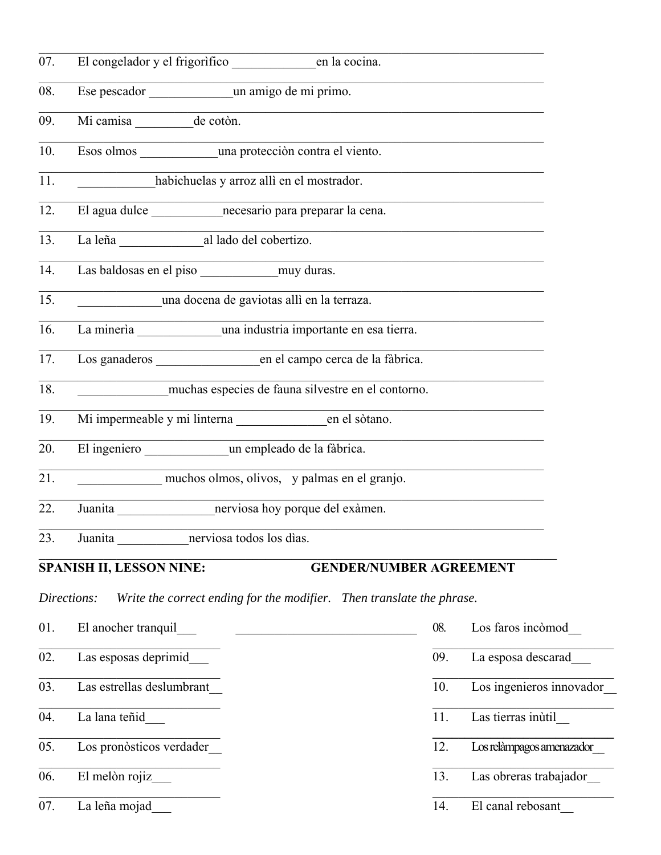| 07.               |                                                                                      |                                                                                           |                           |
|-------------------|--------------------------------------------------------------------------------------|-------------------------------------------------------------------------------------------|---------------------------|
| 08.               |                                                                                      |                                                                                           |                           |
| 09.               | Mi camisa _______ de cotòn.                                                          |                                                                                           |                           |
| 10.               | Esos olmos ___________________una protección contra el viento.                       |                                                                                           |                           |
| 11.               | habichuelas y arroz allì en el mostrador.                                            |                                                                                           |                           |
| 12.               | El agua dulce _________________necesario para preparar la cena.                      | the control of the control of the control of the control of the control of                |                           |
| 13.               | La leña al lado del cobertizo.                                                       |                                                                                           |                           |
| 14.               |                                                                                      |                                                                                           |                           |
| 15.               | una docena de gaviotas alli en la terraza.                                           | the control of the control of the control of the control of the control of the control of |                           |
| 16.               | La mineria una industria importante en esa tierra.                                   |                                                                                           |                           |
| 17.               | Los ganaderos en el campo cerca de la fàbrica.                                       |                                                                                           |                           |
| 18.               | muchas especies de fauna silvestre en el contorno.                                   |                                                                                           |                           |
| 19.               |                                                                                      |                                                                                           |                           |
| 20.               | El ingeniero un empleado de la fàbrica.                                              |                                                                                           |                           |
| $\overline{21}$ . | muchos olmos, olivos, y palmas en el granjo.                                         |                                                                                           |                           |
| 22.               |                                                                                      |                                                                                           |                           |
| 23.               | Juanita enerviosa todos los días.                                                    |                                                                                           |                           |
|                   | <b>SPANISH II, LESSON NINE:</b>                                                      | <b>GENDER/NUMBER AGREEMENT</b>                                                            |                           |
|                   | Write the correct ending for the modifier. Then translate the phrase.<br>Directions: |                                                                                           |                           |
| 01.               | El anocher tranquil                                                                  | 08.                                                                                       | Los faros incòmod         |
| 02.               | Las esposas deprimid                                                                 | 09.                                                                                       | La esposa descarad        |
| 03.               | Las estrellas deslumbrant                                                            | 10.                                                                                       | Los ingenieros innovador  |
| 04.               | La lana teñid                                                                        | 11.                                                                                       | Las tierras inùtil        |
| 05.               | Los pronòsticos verdader                                                             | 12.                                                                                       | Los relàmpagos amenazador |
| 06.               | El melòn rojiz                                                                       | 13.                                                                                       | Las obreras trabajador    |
| 07.               | La leña mojad                                                                        | 14.                                                                                       | El canal rebosant         |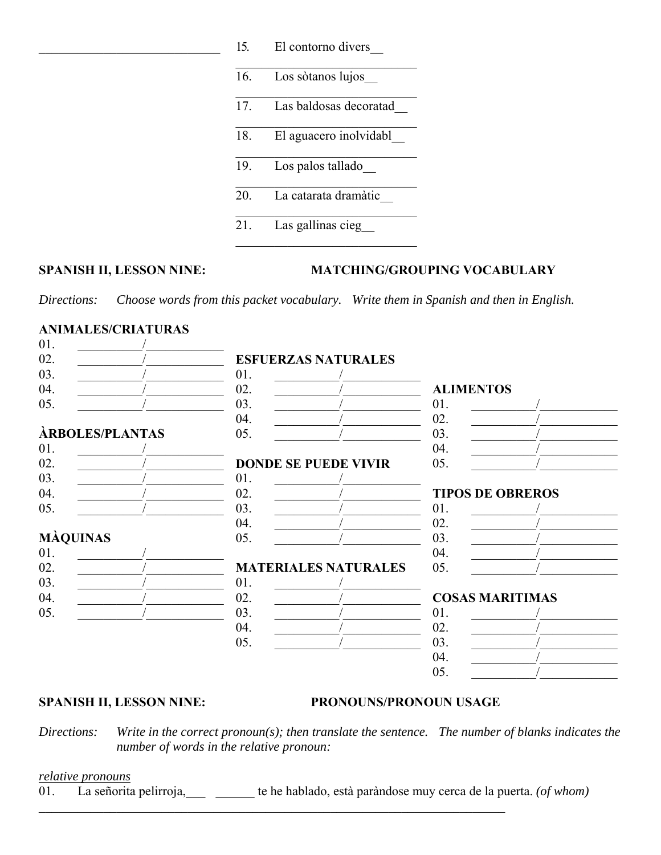| 15. | El contorno divers     |
|-----|------------------------|
| 16. | Los sòtanos lujos      |
| 17. | Las baldosas decoratad |
| 18. | El aguacero inolvidabl |
| 19. | Los palos tallado      |
| 20. | La catarata dramàtic   |
| 21. | Las gallinas cieg      |

### SPANISH II, LESSON NINE: MATCHING/GROUPING VOCABULARY

*Directions: Choose words from this packet vocabulary. Write them in Spanish and then in English.*

# **ANIMALES/CRIATURAS**

| 01.             |                 |     |                             |                        |                         |
|-----------------|-----------------|-----|-----------------------------|------------------------|-------------------------|
| 02.             |                 |     | <b>ESFUERZAS NATURALES</b>  |                        |                         |
| 03.             |                 | 01. |                             |                        |                         |
| 04.             |                 | 02. |                             | <b>ALIMENTOS</b>       |                         |
| 05.             |                 | 03. |                             | 01.                    |                         |
|                 |                 | 04. |                             | 02.                    |                         |
|                 | ÀRBOLES/PLANTAS | 05. |                             | 03.                    |                         |
| 01.             |                 |     |                             | 04.                    |                         |
| 02.             |                 |     | <b>DONDE SE PUEDE VIVIR</b> | 05.                    |                         |
| 03.             |                 | 01. |                             |                        |                         |
| 04.             |                 | 02. |                             |                        | <b>TIPOS DE OBREROS</b> |
| 05.             |                 | 03. |                             | 01.                    |                         |
|                 |                 | 04. |                             | 02.                    |                         |
| <b>MÀQUINAS</b> |                 | 05. |                             | 03.                    |                         |
| 01.             |                 |     |                             | 04.                    |                         |
| 02.             |                 |     | <b>MATERIALES NATURALES</b> | 05.                    |                         |
| 03.             |                 | 01. |                             |                        |                         |
| 04.             |                 | 02. |                             | <b>COSAS MARITIMAS</b> |                         |
| 05.             |                 | 03. |                             | 01.                    |                         |
|                 |                 | 04. |                             | 02.                    |                         |
|                 |                 | 05. |                             | 03.                    |                         |
|                 |                 |     |                             | 04.                    |                         |
|                 |                 |     |                             | 05.                    |                         |
|                 |                 |     |                             |                        |                         |

#### **SPANISH II, LESSON NINE: PRONOUNS/PRONOUN USAGE**

*Directions: Write in the correct pronoun(s); then translate the sentence. The number of blanks indicates the number of words in the relative pronoun:*

#### *relative pronouns*

01. La señorita pelirroja,\_\_\_ \_\_\_\_\_\_ te he hablado, està paràndose muy cerca de la puerta. *(of whom)*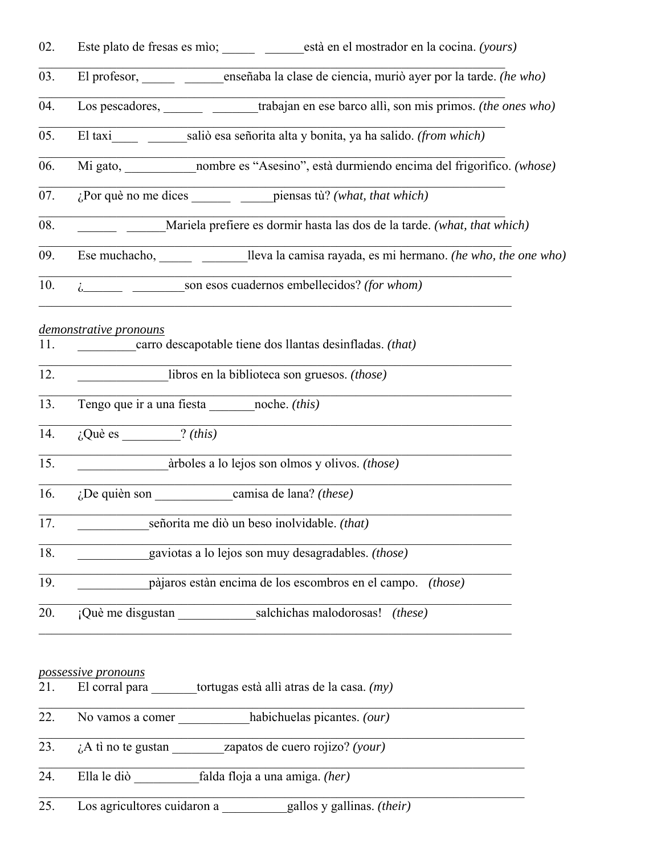| 02.               |                                                                                    | Este plato de fresas es mìo; ________ ________està en el mostrador en la cocina. (yours) |
|-------------------|------------------------------------------------------------------------------------|------------------------------------------------------------------------------------------|
| 03.               |                                                                                    | El profesor, en enseñaba la clase de ciencia, muriò ayer por la tarde. (he who)          |
| 04.               |                                                                                    | Los pescadores, trabajan en ese barco allì, son mis primos. (the ones who)               |
| 05.               |                                                                                    | El taxi ______ __________saliò esa señorita alta y bonita, ya ha salido. (from which)    |
| 06.               |                                                                                    | Mi gato, nombre es "Asesino", està durmiendo encima del frigorifico. (whose)             |
| 07.               |                                                                                    |                                                                                          |
| 08.               | Mariela prefiere es dormir hasta las dos de la tarde. (what, that which)           |                                                                                          |
| 09.               | Ese muchacho, $lleva$ lleva la camisa rayada, es mi hermano. (he who, the one who) |                                                                                          |
| 10.               | i son esos cuadernos embellecidos? (for whom)                                      |                                                                                          |
| 11.               | demonstrative pronouns                                                             | carro descapotable tiene dos llantas desinfladas. (that)                                 |
| 12.               |                                                                                    | libros en la biblioteca son gruesos. (those)                                             |
| 13.               | Tengo que ir a una fiesta noche. (this)                                            |                                                                                          |
| 14.               | $i$ Què es $\frac{?}{this}$                                                        |                                                                                          |
| $\overline{15}$ . | àrboles a lo lejos son olmos y olivos. (those)                                     |                                                                                          |
| 16.               |                                                                                    | $ic$ De quièn son camisa de lana? (these)                                                |
| 17.               | señorita me diò un beso inolvidable. (that)                                        |                                                                                          |
| 18.               | gaviotas a lo lejos son muy desagradables. (those)                                 |                                                                                          |
| 19.               | pàjaros estàn encima de los escombros en el campo. (those)                         |                                                                                          |
| 20.               |                                                                                    | ¡Què me disgustan salchichas malodorosas!<br>(these)                                     |
|                   | possessive pronouns                                                                |                                                                                          |
|                   | $t^{\text{other}}$                                                                 |                                                                                          |

- 21. El corral para \_\_\_\_\_\_\_tortugas està allì atras de la casa. *(my)*
- 22. No vamos a comer \_\_\_\_\_\_\_\_\_\_\_habichuelas picantes. *(our)*
- 23. ¿A tì no te gustan \_\_\_\_\_\_\_\_zapatos de cuero rojizo? *(your)*
- 24. Ella le diò \_\_\_\_\_\_\_\_\_\_falda floja a una amiga. *(her)*

25. Los agricultores cuidaron a \_\_\_\_\_\_\_\_\_\_gallos y gallinas. *(their)*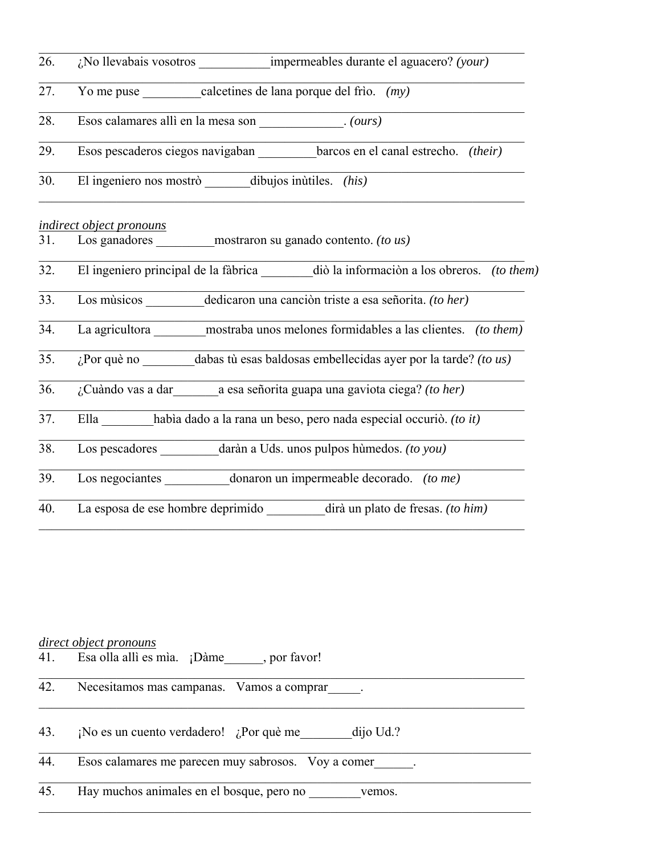| 26.               |                                                                                     |  |  |  |
|-------------------|-------------------------------------------------------------------------------------|--|--|--|
| 27.               | Yo me puse $\_\_\_\_\_\_\$ calcetines de lana porque del frio. $(my)$               |  |  |  |
| 28.               | Esos calamares allì en la mesa son _____________. (ours)                            |  |  |  |
| 29.               | Esos pescaderos ciegos navigaban __________ barcos en el canal estrecho. (their)    |  |  |  |
| 30.               | El ingeniero nos mostrò ______ dibujos inùtiles. (his)                              |  |  |  |
|                   | indirect object pronouns                                                            |  |  |  |
| 31.               | Los ganadores mostraron su ganado contento. (to us)                                 |  |  |  |
| 32.               | El ingeniero principal de la fàbrica diò la información a los obreros. (to them)    |  |  |  |
| 33.               | Los músicos dedicaron una canción triste a esa señorita. (to her)                   |  |  |  |
| 34.               | La agricultora ________ mostraba unos melones formidables a las clientes. (to them) |  |  |  |
| 35.               | $i$ Por què no dabas tù esas baldosas embellecidas ayer por la tarde? (to us)       |  |  |  |
| 36.               | ¿Cuàndo vas a dar _________ a esa señorita guapa una gaviota ciega? (to her)        |  |  |  |
| $\overline{37}$ . | Ella había dado a la rana un beso, pero nada especial occurió. (to it)              |  |  |  |
| 38.               | Los pescadores daràn a Uds. unos pulpos húmedos. (to you)                           |  |  |  |
| 39.               | Los negociantes donaron un impermeable decorado. (to me)                            |  |  |  |
| 40.               | La esposa de ese hombre deprimido ________ dirà un plato de fresas. (to him)        |  |  |  |

# *direct object pronouns*

| 41. | Esa olla allì es mìa. ¡Dàme, por favor!             |  |
|-----|-----------------------------------------------------|--|
| 42. | Necesitamos mas campanas. Vamos a comprar .         |  |
| 43. | ¡No es un cuento verdadero! ¿Por què me dijo Ud.?   |  |
| 44. | Esos calamares me parecen muy sabrosos. Voy a comer |  |
| 45. | Hay muchos animales en el bosque, pero no<br>vemos. |  |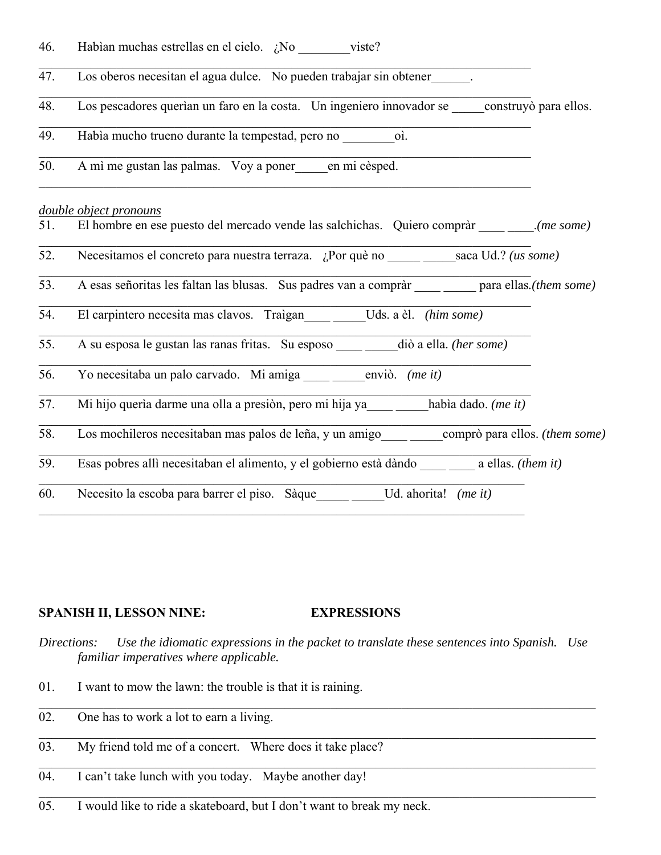| 46. | Habían muchas estrellas en el cielo. $\partial N$ o viste?                                           |  |
|-----|------------------------------------------------------------------------------------------------------|--|
| 47. | Los oberos necesitan el agua dulce. No pueden trabajar sin obtener .                                 |  |
| 48. | Los pescadores querían un faro en la costa. Un ingeniero innovador se construyó para ellos.          |  |
| 49. | Había mucho trueno durante la tempestad, pero no coi.                                                |  |
| 50. | A mì me gustan las palmas. Voy a poner en mi cèsped.                                                 |  |
|     | double object pronouns                                                                               |  |
| 51. | El hombre en ese puesto del mercado vende las salchichas. Quiero compràr ________(me some)           |  |
| 52. |                                                                                                      |  |
| 53. | A esas señoritas les faltan las blusas. Sus padres van a compràr ________ para ellas.(them some)     |  |
| 54. | El carpintero necesita mas clavos. Traìgan Uds. a èl. (him some)                                     |  |
| 55. |                                                                                                      |  |
| 56. | Yo necesitaba un palo carvado. Mi amiga _____ _____ enviò. (me it)                                   |  |
| 57. | Mi hijo querìa darme una olla a presiòn, pero mi hija ya _____ _____habìa dado. (me it)              |  |
| 58. | Los mochileros necesitaban mas palos de leña, y un amigo _____ ______ comprò para ellos. (them some) |  |
| 59. | Esas pobres allì necesitaban el alimento, y el gobierno està dàndo a ellas. (them it)                |  |
| 60. | Necesito la escoba para barrer el piso. Sàque ______ _____Ud. ahorita! (me it)                       |  |

# **SPANISH II, LESSON NINE: EXPRESSIONS**

- *Directions: Use the idiomatic expressions in the packet to translate these sentences into Spanish. Use familiar imperatives where applicable.*
- 01. I want to mow the lawn: the trouble is that it is raining.
- 02. One has to work a lot to earn a living.
- 03. My friend told me of a concert. Where does it take place?
- 04. I can't take lunch with you today. Maybe another day!
- 05. I would like to ride a skateboard, but I don't want to break my neck.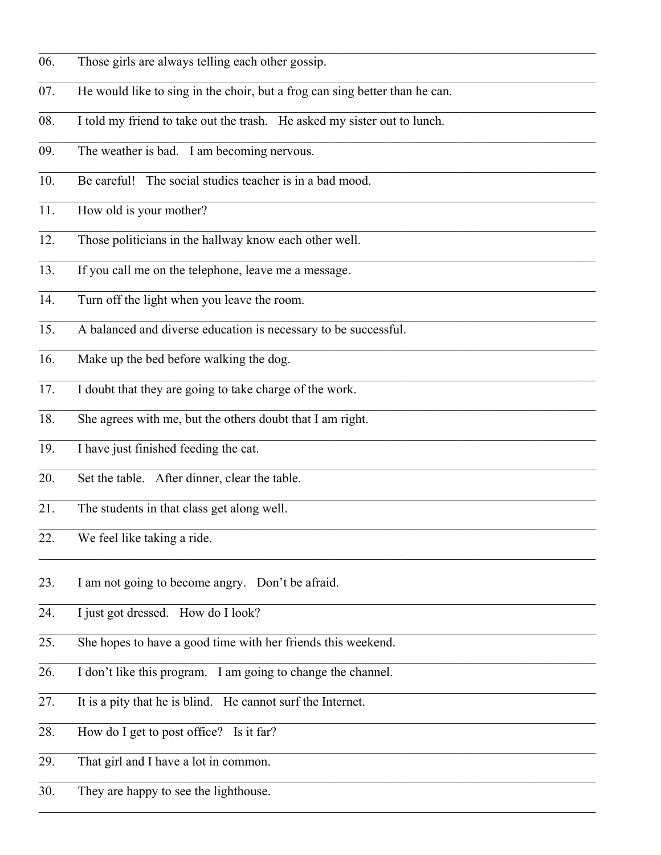- 06. Those girls are always telling each other gossip.
- 07. He would like to sing in the choir, but a frog can sing better than he can.
- 08. I told my friend to take out the trash. He asked my sister out to lunch.
- 09. The weather is bad. I am becoming nervous.
- 10. Be careful! The social studies teacher is in a bad mood.
- 11. How old is your mother?
- 12. Those politicians in the hallway know each other well.
- 13. If you call me on the telephone, leave me a message.
- 14. Turn off the light when you leave the room.
- 15. A balanced and diverse education is necessary to be successful.
- 16. Make up the bed before walking the dog.
- 17. I doubt that they are going to take charge of the work.
- 18. She agrees with me, but the others doubt that I am right.
- 19. I have just finished feeding the cat.
- 20. Set the table. After dinner, clear the table.
- 21. The students in that class get along well.
- 22. We feel like taking a ride.
- 23. I am not going to become angry. Don't be afraid.
- 24. I just got dressed. How do I look?
- 25. She hopes to have a good time with her friends this weekend.

 $\mathcal{L}_\mathcal{L} = \mathcal{L}_\mathcal{L} = \mathcal{L}_\mathcal{L} = \mathcal{L}_\mathcal{L} = \mathcal{L}_\mathcal{L} = \mathcal{L}_\mathcal{L} = \mathcal{L}_\mathcal{L} = \mathcal{L}_\mathcal{L} = \mathcal{L}_\mathcal{L} = \mathcal{L}_\mathcal{L} = \mathcal{L}_\mathcal{L} = \mathcal{L}_\mathcal{L} = \mathcal{L}_\mathcal{L} = \mathcal{L}_\mathcal{L} = \mathcal{L}_\mathcal{L} = \mathcal{L}_\mathcal{L} = \mathcal{L}_\mathcal{L}$ 

 $\mathcal{L}_\mathcal{L} = \mathcal{L}_\mathcal{L} = \mathcal{L}_\mathcal{L} = \mathcal{L}_\mathcal{L} = \mathcal{L}_\mathcal{L} = \mathcal{L}_\mathcal{L} = \mathcal{L}_\mathcal{L} = \mathcal{L}_\mathcal{L} = \mathcal{L}_\mathcal{L} = \mathcal{L}_\mathcal{L} = \mathcal{L}_\mathcal{L} = \mathcal{L}_\mathcal{L} = \mathcal{L}_\mathcal{L} = \mathcal{L}_\mathcal{L} = \mathcal{L}_\mathcal{L} = \mathcal{L}_\mathcal{L} = \mathcal{L}_\mathcal{L}$ 

 $\mathcal{L}_\mathcal{L} = \mathcal{L}_\mathcal{L} = \mathcal{L}_\mathcal{L} = \mathcal{L}_\mathcal{L} = \mathcal{L}_\mathcal{L} = \mathcal{L}_\mathcal{L} = \mathcal{L}_\mathcal{L} = \mathcal{L}_\mathcal{L} = \mathcal{L}_\mathcal{L} = \mathcal{L}_\mathcal{L} = \mathcal{L}_\mathcal{L} = \mathcal{L}_\mathcal{L} = \mathcal{L}_\mathcal{L} = \mathcal{L}_\mathcal{L} = \mathcal{L}_\mathcal{L} = \mathcal{L}_\mathcal{L} = \mathcal{L}_\mathcal{L}$ 

- 26. I don't like this program. I am going to change the channel.
- 27. It is a pity that he is blind. He cannot surf the Internet.
- 28. How do I get to post office? Is it far?
- 29. That girl and I have a lot in common.
- 30. They are happy to see the lighthouse.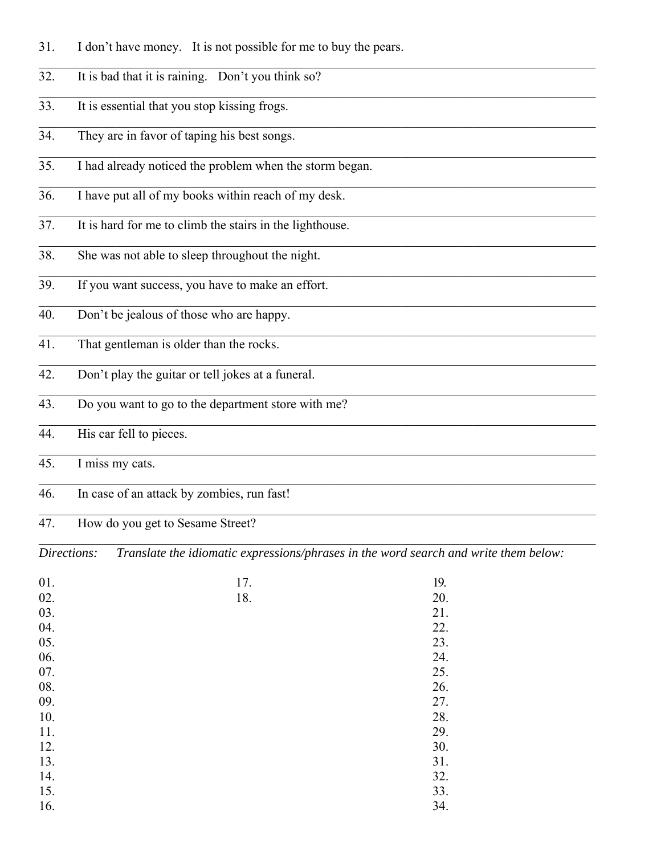- 31. I don't have money. It is not possible for me to buy the pears.
- 32. It is bad that it is raining. Don't you think so?
- 33. It is essential that you stop kissing frogs.
- 34. They are in favor of taping his best songs.
- 35. I had already noticed the problem when the storm began.
- 36. I have put all of my books within reach of my desk.
- 37. It is hard for me to climb the stairs in the lighthouse.
- 38. She was not able to sleep throughout the night.
- 39. If you want success, you have to make an effort.
- 40. Don't be jealous of those who are happy.
- 41. That gentleman is older than the rocks.
- 42. Don't play the guitar or tell jokes at a funeral.
- 43. Do you want to go to the department store with me?
- 44. His car fell to pieces.
- 45. I miss my cats.
- 46. In case of an attack by zombies, run fast!

#### 47. How do you get to Sesame Street?

*Directions: Translate the idiomatic expressions/phrases in the word search and write them below:*

 $\mathcal{L}_\mathcal{L} = \mathcal{L}_\mathcal{L} = \mathcal{L}_\mathcal{L} = \mathcal{L}_\mathcal{L} = \mathcal{L}_\mathcal{L} = \mathcal{L}_\mathcal{L} = \mathcal{L}_\mathcal{L} = \mathcal{L}_\mathcal{L} = \mathcal{L}_\mathcal{L} = \mathcal{L}_\mathcal{L} = \mathcal{L}_\mathcal{L} = \mathcal{L}_\mathcal{L} = \mathcal{L}_\mathcal{L} = \mathcal{L}_\mathcal{L} = \mathcal{L}_\mathcal{L} = \mathcal{L}_\mathcal{L} = \mathcal{L}_\mathcal{L}$ 

| 01.<br>02. | 17.<br>18. | 19.<br>20. |
|------------|------------|------------|
| 03.<br>04. |            | 21.<br>22. |
| 05.<br>06. |            | 23.<br>24. |
| 07.<br>08. |            | 25.<br>26. |
| 09.<br>10. |            | 27.<br>28. |
| 11.<br>12. |            | 29.<br>30. |
| 13.<br>14. |            | 31.<br>32. |
| 15.<br>16. |            | 33.<br>34. |